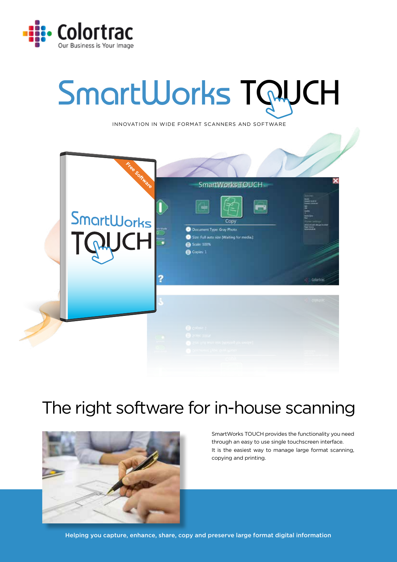

# SmartWorks TQUCH

INNOVATION IN WIDE FORMAT SCANNERS AND SOFTWARE



## The right software for in-house scanning



SmartWorks TOUCH provides the functionality you need through an easy to use single touchscreen interface. It is the easiest way to manage large format scanning, copying and printing.

Helping you capture, enhance, share, copy and preserve large format digital information